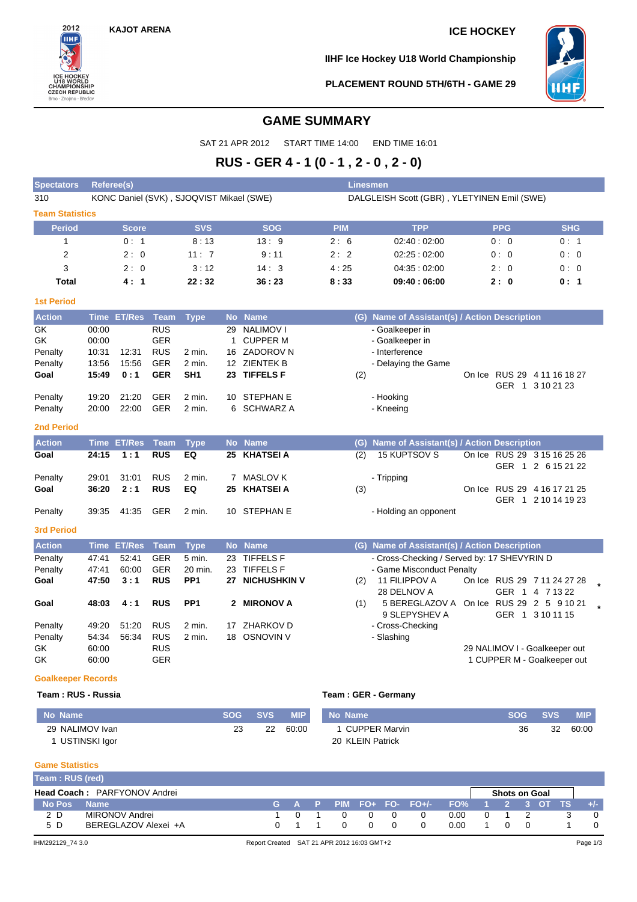**KAJOT ARENA ICE HOCKEY**



**IIHF Ice Hockey U18 World Championship**



**PLACEMENT ROUND 5TH/6TH - GAME 29**

# **GAME SUMMARY**

SAT 21 APR 2012 START TIME 14:00 END TIME 16:01

# **RUS - GER 4 - 1 (0 - 1 , 2 - 0 , 2 - 0)**

| <b>Spectators</b>      | <b>Referee(s)</b> |                    |             |                                          |              |                  | <b>Linesmen</b> |                                                         |            |                                                   |  |
|------------------------|-------------------|--------------------|-------------|------------------------------------------|--------------|------------------|-----------------|---------------------------------------------------------|------------|---------------------------------------------------|--|
| 310                    |                   |                    |             | KONC Daniel (SVK), SJOQVIST Mikael (SWE) |              |                  |                 | DALGLEISH Scott (GBR), YLETYINEN Emil (SWE)             |            |                                                   |  |
| <b>Team Statistics</b> |                   |                    |             |                                          |              |                  |                 |                                                         |            |                                                   |  |
| <b>Period</b>          |                   | <b>Score</b>       |             | <b>SVS</b>                               |              | <b>SOG</b>       | <b>PIM</b>      | <b>TPP</b>                                              | <b>PPG</b> | <b>SHG</b>                                        |  |
| 1                      |                   | 0:1                |             | 8:13                                     |              | 13:9             | 2:6             | 02:40:02:00                                             | 0:0        | 0:1                                               |  |
| $\overline{2}$         |                   | 2:0                |             | 11:7                                     |              | 9:11             | 2:2             | 02:25:02:00                                             | 0:0        | 0:0                                               |  |
| 3                      |                   | 2:0                |             | 3:12                                     |              | 14:3             | 4:25            | 04:35:02:00                                             | 2:0        | 0:0                                               |  |
| <b>Total</b>           |                   | 4:1                |             | 22:32                                    |              | 36:23            | 8:33            | 09:40:06:00                                             | 2:0        | 0:1                                               |  |
| <b>1st Period</b>      |                   |                    |             |                                          |              |                  |                 |                                                         |            |                                                   |  |
| <b>Action</b>          |                   | Time ET/Res        | <b>Team</b> | <b>Type</b>                              |              | No Name          |                 | (G) Name of Assistant(s) / Action Description           |            |                                                   |  |
| GK                     | 00:00             |                    | <b>RUS</b>  |                                          | 29           | <b>NALIMOVI</b>  |                 | - Goalkeeper in                                         |            |                                                   |  |
| GK                     | 00:00             |                    | <b>GER</b>  |                                          | $\mathbf{1}$ | <b>CUPPER M</b>  |                 | - Goalkeeper in                                         |            |                                                   |  |
| Penalty                | 10:31             | 12:31              | <b>RUS</b>  | 2 min.                                   |              | 16 ZADOROV N     |                 | - Interference                                          |            |                                                   |  |
| Penalty                | 13:56             | 15:56              | <b>GER</b>  | 2 min.                                   |              | 12 ZIENTEK B     |                 | - Delaying the Game                                     |            |                                                   |  |
| Goal                   | 15:49             | 0:1                | <b>GER</b>  | SH <sub>1</sub>                          | 23           | <b>TIFFELS F</b> | (2)             |                                                         |            | On Ice RUS 29 4 11 16 18 27<br>GER 1 3 10 21 23   |  |
| Penalty                | 19:20             | 21:20              | <b>GER</b>  | 2 min.                                   | 10           | STEPHAN E        |                 | - Hooking                                               |            |                                                   |  |
| Penalty                | 20:00             | 22:00              | <b>GER</b>  | 2 min.                                   | 6            | SCHWARZ A        |                 | - Kneeing                                               |            |                                                   |  |
| <b>2nd Period</b>      |                   |                    |             |                                          |              |                  |                 |                                                         |            |                                                   |  |
| <b>Action</b>          |                   | <b>Time ET/Res</b> | <b>Team</b> | <b>Type</b>                              |              | No Name          |                 | (G) Name of Assistant(s) / Action Description           |            |                                                   |  |
| Goal                   | 24:15             | 1:1                | <b>RUS</b>  | EQ                                       | 25           | <b>KHATSEI A</b> | (2)             | <b>15 KUPTSOV S</b>                                     |            | On Ice RUS 29 3 15 16 25 26<br>GER 1 2 6 15 21 22 |  |
| Penalty                | 29:01             | 31:01              | <b>RUS</b>  | 2 min.                                   |              | 7 MASLOV K       |                 | - Tripping                                              |            |                                                   |  |
| Goal                   | 36:20             | 2:1                | <b>RUS</b>  | EQ                                       | 25           | <b>KHATSEI A</b> | (3)             |                                                         |            | On Ice RUS 29 4 16 17 21 25                       |  |
|                        |                   |                    |             |                                          |              |                  |                 |                                                         |            | GER 1 2 10 14 19 23                               |  |
| Penalty                | 39:35             | 41:35              | <b>GER</b>  | 2 min.                                   |              | 10 STEPHAN E     |                 | - Holding an opponent                                   |            |                                                   |  |
| <b>3rd Period</b>      |                   |                    |             |                                          |              |                  |                 |                                                         |            |                                                   |  |
| <b>Action</b>          |                   | Time ET/Res        | <b>Team</b> | <b>Type</b>                              |              | No Name          |                 | (G) Name of Assistant(s) / Action Description           |            |                                                   |  |
| Penalty                | 47:41             | 52:41              | <b>GER</b>  | 5 min.                                   |              | 23 TIFFELS F     |                 | - Cross-Checking / Served by: 17 SHEVYRIN D             |            |                                                   |  |
| Penalty                | 47:41             | 60:00              | <b>GER</b>  | 20 min.                                  | 23           | <b>TIFFELS F</b> |                 | - Game Misconduct Penalty                               |            |                                                   |  |
| Goal                   | 47:50             | 3:1                | <b>RUS</b>  | PP <sub>1</sub>                          |              | 27 NICHUSHKIN V  | (2)             | 11 FILIPPOV A                                           |            | On Ice RUS 29 7 11 24 27 28                       |  |
|                        |                   |                    |             | PP <sub>1</sub>                          |              |                  |                 | 28 DELNOV A<br>5 BEREGLAZOV A On Ice RUS 29 2 5 9 10 21 |            | GER 1 4 7 13 22                                   |  |
| Goal                   | 48:03             | 4:1                | <b>RUS</b>  |                                          |              | 2 MIRONOV A      | (1)             | 9 SLEPYSHEV A                                           |            | GER 1 3 10 11 15                                  |  |
| Penalty                | 49:20             | 51:20              | <b>RUS</b>  | 2 min.                                   | 17           | ZHARKOV D        |                 | - Cross-Checking                                        |            |                                                   |  |
| Penalty                | 54:34             | 56:34              | <b>RUS</b>  | 2 min.                                   |              | 18 OSNOVIN V     |                 | - Slashing                                              |            |                                                   |  |
| GK                     | 60:00             |                    | <b>RUS</b>  |                                          |              |                  |                 |                                                         |            | 29 NALIMOV I - Goalkeeper out                     |  |
| GK                     | 60:00             |                    | <b>GER</b>  |                                          |              |                  |                 |                                                         |            | 1 CUPPER M - Goalkeeper out                       |  |
|                        |                   |                    |             |                                          |              |                  |                 |                                                         |            |                                                   |  |

### **Goalkeeper Records**

### **Team : RUS - Russia Team : GER - Germany**

| No Name         | <b>SOG</b> | <b>SVS</b> | MIP'  | No Name          | <b>SOG</b> | <b>SVS</b> | <b>MIP</b> |
|-----------------|------------|------------|-------|------------------|------------|------------|------------|
| 29 NALIMOV Ivan | 23         | 22         | 60:00 | 1 CUPPER Marvin  | 36         | 32         | 60:00      |
| USTINSKI Igor   |            |            |       | 20 KLEIN Patrick |            |            |            |

### **Game Statistics**

| Team: RUS (red) |                                     |     |  |          |   |                           |                 |             |                      |  |       |
|-----------------|-------------------------------------|-----|--|----------|---|---------------------------|-----------------|-------------|----------------------|--|-------|
|                 | <b>Head Coach: PARFYONOV Andrei</b> |     |  |          |   |                           |                 |             | <b>Shots on Goal</b> |  |       |
| No Pos          | <b>Name</b>                         |     |  |          |   | $G$ A P PIM FO+ FO- FO+/- | FO% 1 2 3 OT TS |             |                      |  | $+/-$ |
| 2 D             | MIRONOV Andrei                      | - 0 |  | $\Omega$ | 0 |                           | 0.00            | $0 \quad 1$ |                      |  |       |
| 5 D             | BEREGLAZOV Alexei +A                |     |  | $\Omega$ |   |                           | 0.00            |             | $\Omega$             |  |       |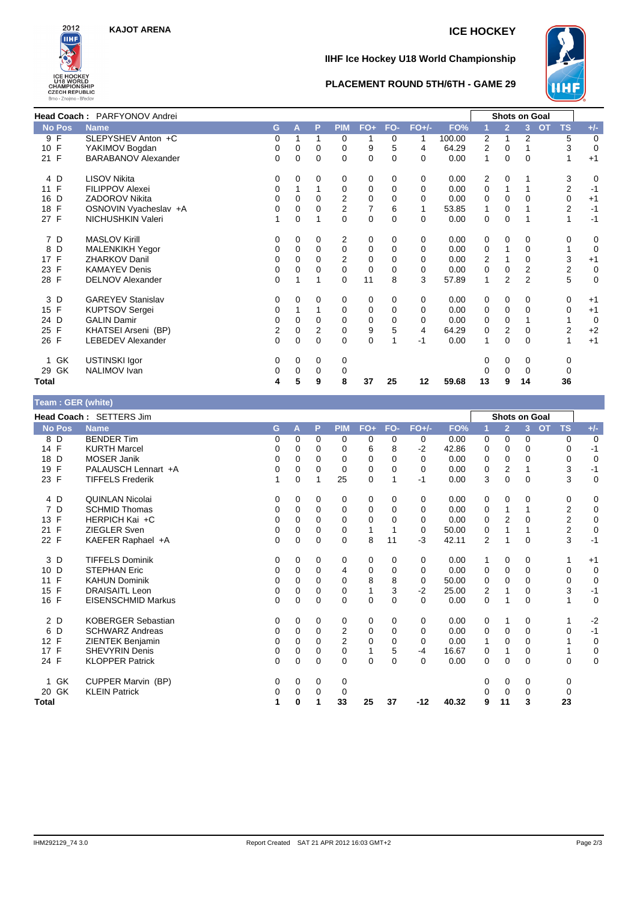

## **IIHF Ice Hockey U18 World Championship**



### **PLACEMENT ROUND 5TH/6TH - GAME 29**

|                      | Head Coach: PARFYONOV Andrei |          |          |          |             |             |          |          |        |              |                | <b>Shots on Goal</b> |           |                |             |
|----------------------|------------------------------|----------|----------|----------|-------------|-------------|----------|----------|--------|--------------|----------------|----------------------|-----------|----------------|-------------|
| <b>No Pos</b>        | <b>Name</b>                  | G        | A        | P        | <b>PIM</b>  | $FO+$       | FO-      | $FO+/-$  | FO%    |              | $\overline{2}$ | 3                    | <b>OT</b> | <b>TS</b>      | $+/-$       |
| 9 F                  | SLEPYSHEV Anton +C           | 0        |          |          | 0           |             | 0        |          | 100.00 | 2            |                | 2                    |           | 5              | 0           |
| 10 F                 | YAKIMOV Bogdan               | 0        | $\Omega$ | 0        | 0           | 9           | 5        | 4        | 64.29  | 2            | 0              |                      |           | 3              | $\mathbf 0$ |
| 21 F                 | <b>BARABANOV Alexander</b>   | $\Omega$ | 0        | $\Omega$ | $\Omega$    | 0           | $\Omega$ | $\Omega$ | 0.00   | 1            | $\Omega$       | $\Omega$             |           |                | $+1$        |
| 4 D                  | <b>LISOV Nikita</b>          | 0        | 0        | 0        | 0           | 0           | 0        | 0        | 0.00   | 2            | 0              |                      |           | 3              | 0           |
| 11 F                 | <b>FILIPPOV Alexei</b>       | 0        |          |          | 0           | 0           | 0        | 0        | 0.00   | 0            |                |                      |           | 2              | $-1$        |
| 16<br>D              | ZADOROV Nikita               | 0        | 0        | 0        | 2           | 0           | 0        | 0        | 0.00   | 0            | 0              | $\Omega$             |           | 0              | $+1$        |
| F<br>18              | OSNOVIN Vyacheslav +A        | 0        | 0        | 0        | 2           | 7           | 6        |          | 53.85  |              | 0              |                      |           | 2              | $-1$        |
| 27 F                 | NICHUSHKIN Valeri            |          | $\Omega$ |          | 0           | $\mathbf 0$ | $\Omega$ | $\Omega$ | 0.00   | 0            | 0              |                      |           | 1              | $-1$        |
| 7 D                  | <b>MASLOV Kirill</b>         | 0        | 0        | 0        | 2           | 0           | 0        | 0        | 0.00   | 0            | 0              | 0                    |           | 0              | 0           |
| D<br>8               | <b>MALENKIKH Yegor</b>       | 0        | 0        | 0        | 0           | 0           | 0        | 0        | 0.00   | 0            |                | 0                    |           |                | 0           |
| 17 F                 | <b>ZHARKOV Danil</b>         | 0        | $\Omega$ | 0        | 2           | 0           | 0        |          | 0.00   | 2            |                | $\Omega$             |           | 3              | $+1$        |
| F<br>23              | <b>KAMAYEV Denis</b>         | 0        | 0        | 0        | 0           | 0           | 0        | 0        | 0.00   | 0            | 0              | 2                    |           | $\overline{2}$ | 0           |
| 28 F                 | <b>DELNOV Alexander</b>      | 0        |          |          | $\mathbf 0$ | 11          | 8        | 3        | 57.89  | 1            | 2              | $\overline{2}$       |           | 5              | 0           |
| 3 D                  | <b>GAREYEV Stanislav</b>     | 0        | $\Omega$ | 0        | 0           | 0           | $\Omega$ | 0        | 0.00   | 0            | 0              | 0                    |           | 0              | $+1$        |
| F<br>15 <sub>1</sub> | <b>KUPTSOV Sergei</b>        | 0        |          |          | $\mathbf 0$ | 0           | $\Omega$ | 0        | 0.00   | 0            | 0              | $\Omega$             |           | 0              | $+1$        |
| D<br>24              | <b>GALIN Damir</b>           | 0        | 0        | 0        | 0           | 0           | 0        | 0        | 0.00   | 0            | 0              |                      |           |                | 0           |
| F<br>25              | KHATSEI Arseni (BP)          | 2        | 0        | 2        | $\mathbf 0$ | 9           | 5        | 4        | 64.29  | 0            | 2              | 0                    |           | 2              | $+2$        |
| 26 F                 | <b>LEBEDEV Alexander</b>     | $\Omega$ | $\Omega$ | $\Omega$ | 0           | $\Omega$    | 1        | -1       | 0.00   | $\mathbf{1}$ | $\Omega$       | $\Omega$             |           | 1              | $+1$        |
| GK                   | <b>USTINSKI Igor</b>         | 0        | $\Omega$ | 0        | 0           |             |          |          |        | 0            | 0              | 0                    |           | 0              |             |
| GK<br>29             | NALIMOV Ivan                 | 0        | 0        | 0        | 0           |             |          |          |        |              | 0              | 0                    |           | 0              |             |
| Total                |                              | 4        | 5        | 9        | 8           | 37          | 25       | 12       | 59.68  | 13           | 9              | 14                   |           | 36             |             |

## **Team : GER (white)**

|                    | Head Coach: SETTERS Jim   |   |          |             |            |             |          |          |       |                |                | <b>Shots on Goal</b> |                        |                |
|--------------------|---------------------------|---|----------|-------------|------------|-------------|----------|----------|-------|----------------|----------------|----------------------|------------------------|----------------|
| <b>No Pos</b>      | <b>Name</b>               | G | A        | P           | <b>PIM</b> | FO+         | FO-      | $FO+/-$  | FO%   | 1              | $\overline{2}$ | $\overline{3}$       | <b>TS</b><br><b>OT</b> | $+/-$          |
| 8 D                | <b>BENDER Tim</b>         | 0 | 0        | 0           | 0          | 0           | 0        | 0        | 0.00  | 0              | 0              | 0                    | 0                      | $\overline{0}$ |
| 14 F               | <b>KURTH Marcel</b>       | 0 | 0        | 0           | 0          | 6           | 8        | $-2$     | 42.86 | 0              | 0              | $\Omega$             | $\Omega$               | $-1$           |
| D<br>18            | <b>MOSER Janik</b>        | 0 | 0        | 0           | 0          | 0           | 0        | $\Omega$ | 0.00  | 0              | 0              | 0                    | 0                      | $\mathbf 0$    |
| F<br>19            | PALAUSCH Lennart +A       | 0 | 0        | $\Omega$    | $\Omega$   | 0           | $\Omega$ | $\Omega$ | 0.00  | 0              | 2              |                      | 3                      | $-1$           |
| 23 F               | <b>TIFFELS Frederik</b>   |   | 0        |             | 25         | $\mathbf 0$ |          | $-1$     | 0.00  | 3              | $\mathbf 0$    | 0                    | 3                      | $\mathbf 0$    |
| 4 D                | <b>QUINLAN Nicolai</b>    | 0 | 0        | 0           | 0          | 0           | 0        | 0        | 0.00  | 0              | 0              | 0                    | 0                      | 0              |
| D<br>7             | <b>SCHMID Thomas</b>      | 0 | 0        | $\Omega$    | 0          | 0           | $\Omega$ | 0        | 0.00  | 0              | 1              |                      | $\overline{2}$         | $\mathbf 0$    |
| F<br>13            | HERPICH Kai +C            | 0 | 0        | $\Omega$    | 0          | 0           | 0        | 0        | 0.00  | 0              | $\overline{2}$ | 0                    | $\overline{2}$         | $\mathbf 0$    |
| F<br>21            | <b>ZIEGLER Sven</b>       | 0 | $\Omega$ | 0           | 0          | 1           |          | 0        | 50.00 | 0              | 1              |                      | $\overline{2}$         | $\mathbf 0$    |
| 22 F               | KAEFER Raphael +A         | 0 | 0        | 0           | $\Omega$   | 8           | 11       | $-3$     | 42.11 | $\overline{2}$ | 1              | $\Omega$             | 3                      | $-1$           |
| D<br>3             | <b>TIFFELS Dominik</b>    | 0 | 0        | 0           | 0          | 0           | 0        | 0        | 0.00  | 1              | 0              | 0                    | 1                      | $+1$           |
| D<br>10            | <b>STEPHAN Eric</b>       | 0 | 0        | $\Omega$    | 4          | 0           | $\Omega$ | $\Omega$ | 0.00  | 0              | 0              | $\Omega$             | 0                      | $\mathbf 0$    |
| F<br>11            | <b>KAHUN Dominik</b>      | 0 | 0        | $\Omega$    | 0          | 8           | 8        | 0        | 50.00 | 0              | $\Omega$       | 0                    | 0                      | 0              |
| F<br>15            | <b>DRAISAITL Leon</b>     | 0 | $\Omega$ | $\Omega$    | 0          | 1           | 3        | $-2$     | 25.00 | 2              | 1              | 0                    | 3                      | $-1$           |
| 16 F               | <b>EISENSCHMID Markus</b> | 0 | 0        | $\mathbf 0$ | 0          | $\mathbf 0$ | $\Omega$ | $\Omega$ | 0.00  | 0              | 1              | 0                    | 1                      | $\mathbf 0$    |
| 2 D                | <b>KOBERGER Sebastian</b> | 0 | 0        | 0           | 0          | 0           | 0        | 0        | 0.00  | 0              | 1              | 0                    | 1                      | $-2$           |
| D<br>6             | <b>SCHWARZ Andreas</b>    | 0 | 0        | 0           | 2          | 0           | $\Omega$ | 0        | 0.00  | 0              | 0              | 0                    | 0                      | $-1$           |
| $\mathsf{F}$<br>12 | ZIENTEK Benjamin          | 0 | $\Omega$ | 0           | 2          | 0           | 0        | 0        | 0.00  | 1              | $\mathbf 0$    | 0                    |                        | $\mathbf 0$    |
| 17 F               | <b>SHEVYRIN Denis</b>     | 0 | 0        | 0           | 0          | 1           | 5        | $-4$     | 16.67 | 0              | 1              | 0                    |                        | $\mathbf 0$    |
| 24 F               | <b>KLOPPER Patrick</b>    | 0 | 0        | $\Omega$    | $\Omega$   | $\mathbf 0$ | $\Omega$ | $\Omega$ | 0.00  | $\Omega$       | $\Omega$       | $\Omega$             | 0                      | $\mathbf 0$    |
| 1 GK               | CUPPER Marvin (BP)        | 0 | 0        | 0           | 0          |             |          |          |       | 0              | 0              | 0                    | 0                      |                |
| 20 GK              | <b>KLEIN Patrick</b>      | 0 | 0        | 0           | 0          |             |          |          |       | O              | 0              | 0                    | 0                      |                |
| Total              |                           | 1 | 0        | 1           | 33         | 25          | 37       | $-12$    | 40.32 | 9              | 11             | 3                    | 23                     |                |